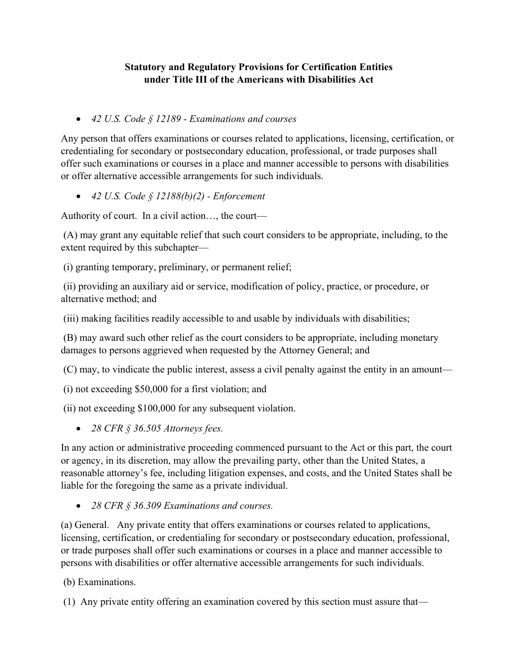## **Statutory and Regulatory Provisions for Certification Entities under Title III of the Americans with Disabilities Act**

*42 U.S. Code § 12189 - Examinations and courses* 

Any person that offers examinations or courses related to applications, licensing, certification, or credentialing for secondary or postsecondary education, professional, or trade purposes shall offer such examinations or courses in a place and manner accessible to persons with disabilities or offer alternative accessible arrangements for such individuals.

*42 U.S. Code § 12188(b)(2) - Enforcement* 

Authority of court. In a civil action…, the court—

 (A) may grant any equitable relief that such court considers to be appropriate, including, to the extent required by this subchapter—

(i) granting temporary, preliminary, or permanent relief;

 (ii) providing an auxiliary aid or service, modification of policy, practice, or procedure, or alternative method; and

(iii) making facilities readily accessible to and usable by individuals with disabilities;

 (B) may award such other relief as the court considers to be appropriate, including monetary damages to persons aggrieved when requested by the Attorney General; and

(C) may, to vindicate the public interest, assess a civil penalty against the entity in an amount—

(i) not exceeding \$50,000 for a first violation; and

(ii) not exceeding \$100,000 for any subsequent violation.

*28 CFR § 36.505 Attorneys fees.* 

In any action or administrative proceeding commenced pursuant to the Act or this part, the court or agency, in its discretion, may allow the prevailing party, other than the United States, a reasonable attorney's fee, including litigation expenses, and costs, and the United States shall be liable for the foregoing the same as a private individual.

*28 CFR § 36.309 Examinations and courses.* 

(a) General. Any private entity that offers examinations or courses related to applications, licensing, certification, or credentialing for secondary or postsecondary education, professional, or trade purposes shall offer such examinations or courses in a place and manner accessible to persons with disabilities or offer alternative accessible arrangements for such individuals.

(b) Examinations.

(1) Any private entity offering an examination covered by this section must assure that—